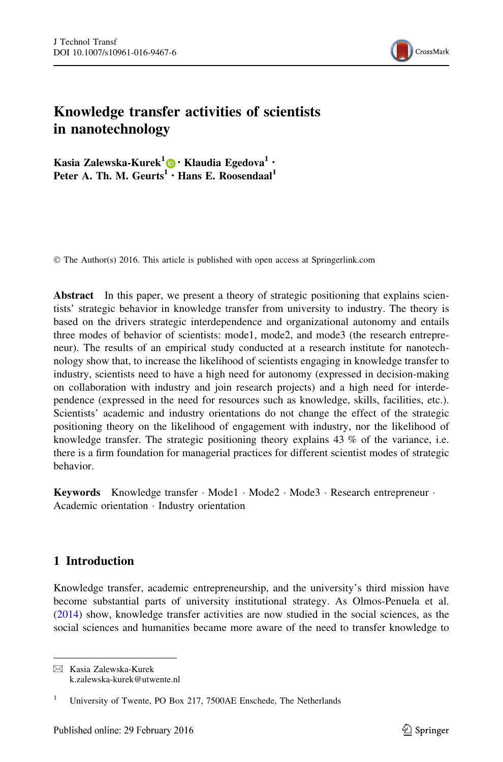

# Knowledge transfer activities of scientists in nanotechnology

Kasia Zalewska-Kurek<sup>1</sup> • Klaudia Egedova<sup>1</sup> • Peter A. Th. M. Geurts<sup>1</sup> • Hans E. Roosendaal<sup>1</sup>

© The Author(s) 2016. This article is published with open access at Springerlink.com

Abstract In this paper, we present a theory of strategic positioning that explains scientists' strategic behavior in knowledge transfer from university to industry. The theory is based on the drivers strategic interdependence and organizational autonomy and entails three modes of behavior of scientists: mode1, mode2, and mode3 (the research entrepreneur). The results of an empirical study conducted at a research institute for nanotechnology show that, to increase the likelihood of scientists engaging in knowledge transfer to industry, scientists need to have a high need for autonomy (expressed in decision-making on collaboration with industry and join research projects) and a high need for interdependence (expressed in the need for resources such as knowledge, skills, facilities, etc.). Scientists' academic and industry orientations do not change the effect of the strategic positioning theory on the likelihood of engagement with industry, nor the likelihood of knowledge transfer. The strategic positioning theory explains 43 % of the variance, i.e. there is a firm foundation for managerial practices for different scientist modes of strategic behavior.

Keywords Knowledge transfer · Mode1 · Mode2 · Mode3 · Research entrepreneur · Academic orientation - Industry orientation

## 1 Introduction

Knowledge transfer, academic entrepreneurship, and the university's third mission have become substantial parts of university institutional strategy. As Olmos-Penuela et al. ([2014\)](#page-19-0) show, knowledge transfer activities are now studied in the social sciences, as the social sciences and humanities became more aware of the need to transfer knowledge to

 $\boxtimes$  Kasia Zalewska-Kurek k.zalewska-kurek@utwente.nl

<sup>&</sup>lt;sup>1</sup> University of Twente, PO Box 217, 7500AE Enschede, The Netherlands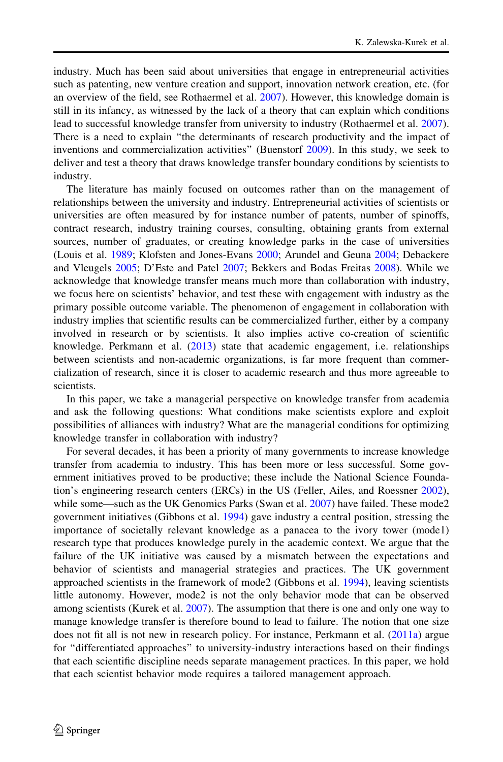industry. Much has been said about universities that engage in entrepreneurial activities such as patenting, new venture creation and support, innovation network creation, etc. (for an overview of the field, see Rothaermel et al. [2007](#page-19-0)). However, this knowledge domain is still in its infancy, as witnessed by the lack of a theory that can explain which conditions lead to successful knowledge transfer from university to industry (Rothaermel et al. [2007](#page-19-0)). There is a need to explain ''the determinants of research productivity and the impact of inventions and commercialization activities'' (Buenstorf [2009\)](#page-18-0). In this study, we seek to deliver and test a theory that draws knowledge transfer boundary conditions by scientists to industry.

The literature has mainly focused on outcomes rather than on the management of relationships between the university and industry. Entrepreneurial activities of scientists or universities are often measured by for instance number of patents, number of spinoffs, contract research, industry training courses, consulting, obtaining grants from external sources, number of graduates, or creating knowledge parks in the case of universities (Louis et al. [1989;](#page-18-0) Klofsten and Jones-Evans [2000](#page-18-0); Arundel and Geuna [2004](#page-17-0); Debackere and Vleugels [2005;](#page-18-0) D'Este and Patel [2007;](#page-18-0) Bekkers and Bodas Freitas [2008](#page-17-0)). While we acknowledge that knowledge transfer means much more than collaboration with industry, we focus here on scientists' behavior, and test these with engagement with industry as the primary possible outcome variable. The phenomenon of engagement in collaboration with industry implies that scientific results can be commercialized further, either by a company involved in research or by scientists. It also implies active co-creation of scientific knowledge. Perkmann et al. ([2013\)](#page-19-0) state that academic engagement, i.e. relationships between scientists and non-academic organizations, is far more frequent than commercialization of research, since it is closer to academic research and thus more agreeable to scientists.

In this paper, we take a managerial perspective on knowledge transfer from academia and ask the following questions: What conditions make scientists explore and exploit possibilities of alliances with industry? What are the managerial conditions for optimizing knowledge transfer in collaboration with industry?

For several decades, it has been a priority of many governments to increase knowledge transfer from academia to industry. This has been more or less successful. Some government initiatives proved to be productive; these include the National Science Foundation's engineering research centers (ERCs) in the US (Feller, Ailes, and Roessner [2002](#page-18-0)), while some—such as the UK Genomics Parks (Swan et al. [2007\)](#page-19-0) have failed. These mode2 government initiatives (Gibbons et al. [1994\)](#page-18-0) gave industry a central position, stressing the importance of societally relevant knowledge as a panacea to the ivory tower (mode1) research type that produces knowledge purely in the academic context. We argue that the failure of the UK initiative was caused by a mismatch between the expectations and behavior of scientists and managerial strategies and practices. The UK government approached scientists in the framework of mode2 (Gibbons et al. [1994\)](#page-18-0), leaving scientists little autonomy. However, mode2 is not the only behavior mode that can be observed among scientists (Kurek et al. [2007](#page-18-0)). The assumption that there is one and only one way to manage knowledge transfer is therefore bound to lead to failure. The notion that one size does not fit all is not new in research policy. For instance, Perkmann et al. [\(2011a](#page-19-0)) argue for "differentiated approaches" to university-industry interactions based on their findings that each scientific discipline needs separate management practices. In this paper, we hold that each scientist behavior mode requires a tailored management approach.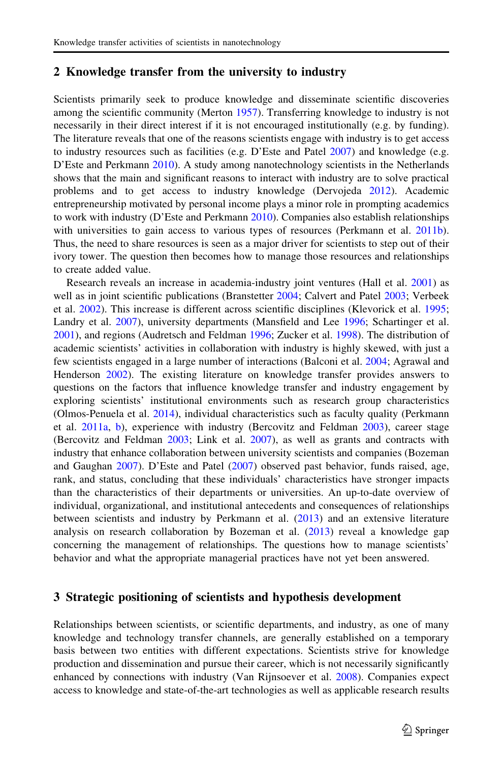## 2 Knowledge transfer from the university to industry

Scientists primarily seek to produce knowledge and disseminate scientific discoveries among the scientific community (Merton [1957](#page-18-0)). Transferring knowledge to industry is not necessarily in their direct interest if it is not encouraged institutionally (e.g. by funding). The literature reveals that one of the reasons scientists engage with industry is to get access to industry resources such as facilities (e.g. D'Este and Patel [2007](#page-18-0)) and knowledge (e.g. D'Este and Perkmann [2010](#page-18-0)). A study among nanotechnology scientists in the Netherlands shows that the main and significant reasons to interact with industry are to solve practical problems and to get access to industry knowledge (Dervojeda [2012\)](#page-18-0). Academic entrepreneurship motivated by personal income plays a minor role in prompting academics to work with industry (D'Este and Perkmann [2010](#page-18-0)). Companies also establish relationships with universities to gain access to various types of resources (Perkmann et al. [2011b](#page-19-0)). Thus, the need to share resources is seen as a major driver for scientists to step out of their ivory tower. The question then becomes how to manage those resources and relationships to create added value.

Research reveals an increase in academia-industry joint ventures (Hall et al. [2001](#page-18-0)) as well as in joint scientific publications (Branstetter [2004;](#page-17-0) Calvert and Patel [2003;](#page-18-0) Verbeek et al. [2002](#page-19-0)). This increase is different across scientific disciplines (Klevorick et al. [1995;](#page-18-0) Landry et al. [2007](#page-18-0)), university departments (Mansfield and Lee [1996](#page-18-0); Schartinger et al. [2001\)](#page-19-0), and regions (Audretsch and Feldman [1996;](#page-17-0) Zucker et al. [1998](#page-19-0)). The distribution of academic scientists' activities in collaboration with industry is highly skewed, with just a few scientists engaged in a large number of interactions (Balconi et al. [2004](#page-17-0); Agrawal and Henderson [2002\)](#page-17-0). The existing literature on knowledge transfer provides answers to questions on the factors that influence knowledge transfer and industry engagement by exploring scientists' institutional environments such as research group characteristics (Olmos-Penuela et al. [2014\)](#page-19-0), individual characteristics such as faculty quality (Perkmann et al. [2011a,](#page-19-0) [b\)](#page-19-0), experience with industry (Bercovitz and Feldman [2003\)](#page-17-0), career stage (Bercovitz and Feldman [2003](#page-17-0); Link et al. [2007\)](#page-18-0), as well as grants and contracts with industry that enhance collaboration between university scientists and companies (Bozeman and Gaughan [2007\)](#page-17-0). D'Este and Patel ([2007](#page-18-0)) observed past behavior, funds raised, age, rank, and status, concluding that these individuals' characteristics have stronger impacts than the characteristics of their departments or universities. An up-to-date overview of individual, organizational, and institutional antecedents and consequences of relationships between scientists and industry by Perkmann et al. [\(2013](#page-19-0)) and an extensive literature analysis on research collaboration by Bozeman et al. ([2013\)](#page-17-0) reveal a knowledge gap concerning the management of relationships. The questions how to manage scientists' behavior and what the appropriate managerial practices have not yet been answered.

## 3 Strategic positioning of scientists and hypothesis development

Relationships between scientists, or scientific departments, and industry, as one of many knowledge and technology transfer channels, are generally established on a temporary basis between two entities with different expectations. Scientists strive for knowledge production and dissemination and pursue their career, which is not necessarily significantly enhanced by connections with industry (Van Rijnsoever et al. [2008](#page-19-0)). Companies expect access to knowledge and state-of-the-art technologies as well as applicable research results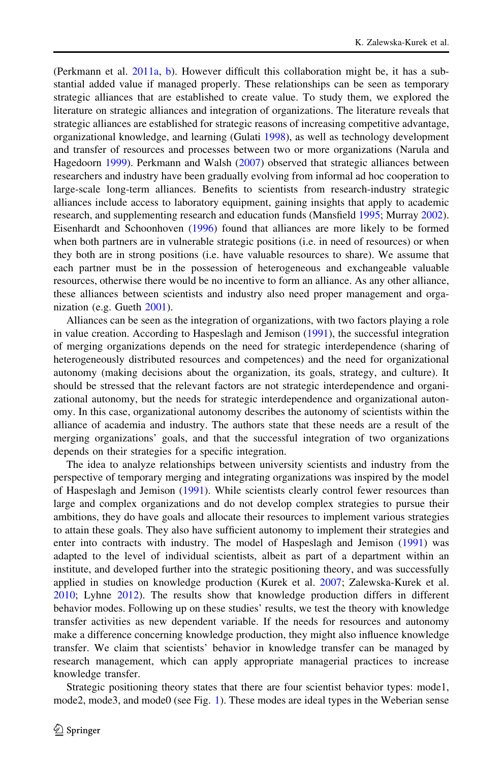(Perkmann et al. [2011a,](#page-19-0) [b\)](#page-19-0). However difficult this collaboration might be, it has a substantial added value if managed properly. These relationships can be seen as temporary strategic alliances that are established to create value. To study them, we explored the literature on strategic alliances and integration of organizations. The literature reveals that strategic alliances are established for strategic reasons of increasing competitive advantage, organizational knowledge, and learning (Gulati [1998\)](#page-18-0), as well as technology development and transfer of resources and processes between two or more organizations (Narula and Hagedoorn [1999\)](#page-19-0). Perkmann and Walsh ([2007\)](#page-19-0) observed that strategic alliances between researchers and industry have been gradually evolving from informal ad hoc cooperation to large-scale long-term alliances. Benefits to scientists from research-industry strategic alliances include access to laboratory equipment, gaining insights that apply to academic research, and supplementing research and education funds (Mansfield [1995](#page-18-0); Murray [2002](#page-19-0)). Eisenhardt and Schoonhoven ([1996\)](#page-18-0) found that alliances are more likely to be formed when both partners are in vulnerable strategic positions (i.e. in need of resources) or when they both are in strong positions (i.e. have valuable resources to share). We assume that each partner must be in the possession of heterogeneous and exchangeable valuable resources, otherwise there would be no incentive to form an alliance. As any other alliance, these alliances between scientists and industry also need proper management and organization (e.g. Gueth [2001\)](#page-18-0).

Alliances can be seen as the integration of organizations, with two factors playing a role in value creation. According to Haspeslagh and Jemison [\(1991](#page-18-0)), the successful integration of merging organizations depends on the need for strategic interdependence (sharing of heterogeneously distributed resources and competences) and the need for organizational autonomy (making decisions about the organization, its goals, strategy, and culture). It should be stressed that the relevant factors are not strategic interdependence and organizational autonomy, but the needs for strategic interdependence and organizational autonomy. In this case, organizational autonomy describes the autonomy of scientists within the alliance of academia and industry. The authors state that these needs are a result of the merging organizations' goals, and that the successful integration of two organizations depends on their strategies for a specific integration.

The idea to analyze relationships between university scientists and industry from the perspective of temporary merging and integrating organizations was inspired by the model of Haspeslagh and Jemison ([1991\)](#page-18-0). While scientists clearly control fewer resources than large and complex organizations and do not develop complex strategies to pursue their ambitions, they do have goals and allocate their resources to implement various strategies to attain these goals. They also have sufficient autonomy to implement their strategies and enter into contracts with industry. The model of Haspeslagh and Jemison [\(1991](#page-18-0)) was adapted to the level of individual scientists, albeit as part of a department within an institute, and developed further into the strategic positioning theory, and was successfully applied in studies on knowledge production (Kurek et al. [2007;](#page-18-0) Zalewska-Kurek et al. [2010;](#page-19-0) Lyhne [2012](#page-18-0)). The results show that knowledge production differs in different behavior modes. Following up on these studies' results, we test the theory with knowledge transfer activities as new dependent variable. If the needs for resources and autonomy make a difference concerning knowledge production, they might also influence knowledge transfer. We claim that scientists' behavior in knowledge transfer can be managed by research management, which can apply appropriate managerial practices to increase knowledge transfer.

Strategic positioning theory states that there are four scientist behavior types: mode1, mode2, mode3, and mode0 (see Fig. [1](#page-4-0)). These modes are ideal types in the Weberian sense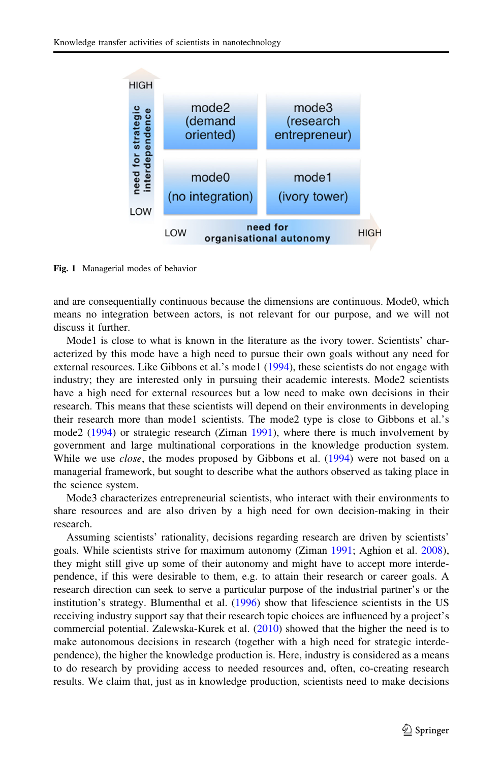<span id="page-4-0"></span>

Fig. 1 Managerial modes of behavior

and are consequentially continuous because the dimensions are continuous. Mode0, which means no integration between actors, is not relevant for our purpose, and we will not discuss it further.

Mode1 is close to what is known in the literature as the ivory tower. Scientists' characterized by this mode have a high need to pursue their own goals without any need for external resources. Like Gibbons et al.'s mode1 ([1994\)](#page-18-0), these scientists do not engage with industry; they are interested only in pursuing their academic interests. Mode2 scientists have a high need for external resources but a low need to make own decisions in their research. This means that these scientists will depend on their environments in developing their research more than mode1 scientists. The mode2 type is close to Gibbons et al.'s mode2 [\(1994](#page-18-0)) or strategic research (Ziman [1991\)](#page-19-0), where there is much involvement by government and large multinational corporations in the knowledge production system. While we use *close*, the modes proposed by Gibbons et al. ([1994\)](#page-18-0) were not based on a managerial framework, but sought to describe what the authors observed as taking place in the science system.

Mode3 characterizes entrepreneurial scientists, who interact with their environments to share resources and are also driven by a high need for own decision-making in their research.

Assuming scientists' rationality, decisions regarding research are driven by scientists' goals. While scientists strive for maximum autonomy (Ziman [1991](#page-19-0); Aghion et al. [2008](#page-17-0)), they might still give up some of their autonomy and might have to accept more interdependence, if this were desirable to them, e.g. to attain their research or career goals. A research direction can seek to serve a particular purpose of the industrial partner's or the institution's strategy. Blumenthal et al. ([1996](#page-17-0)) show that lifescience scientists in the US receiving industry support say that their research topic choices are influenced by a project's commercial potential. Zalewska-Kurek et al. ([2010\)](#page-19-0) showed that the higher the need is to make autonomous decisions in research (together with a high need for strategic interdependence), the higher the knowledge production is. Here, industry is considered as a means to do research by providing access to needed resources and, often, co-creating research results. We claim that, just as in knowledge production, scientists need to make decisions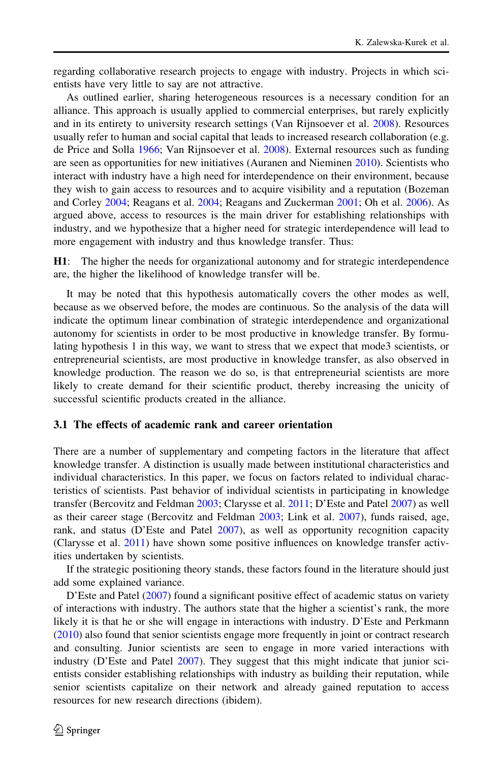regarding collaborative research projects to engage with industry. Projects in which scientists have very little to say are not attractive.

As outlined earlier, sharing heterogeneous resources is a necessary condition for an alliance. This approach is usually applied to commercial enterprises, but rarely explicitly and in its entirety to university research settings (Van Rijnsoever et al. [2008\)](#page-19-0). Resources usually refer to human and social capital that leads to increased research collaboration (e.g. de Price and Solla [1966;](#page-18-0) Van Rijnsoever et al. [2008](#page-19-0)). External resources such as funding are seen as opportunities for new initiatives (Auranen and Nieminen [2010](#page-17-0)). Scientists who interact with industry have a high need for interdependence on their environment, because they wish to gain access to resources and to acquire visibility and a reputation (Bozeman and Corley [2004;](#page-17-0) Reagans et al. [2004;](#page-19-0) Reagans and Zuckerman [2001;](#page-19-0) Oh et al. [2006\)](#page-19-0). As argued above, access to resources is the main driver for establishing relationships with industry, and we hypothesize that a higher need for strategic interdependence will lead to more engagement with industry and thus knowledge transfer. Thus:

H1: The higher the needs for organizational autonomy and for strategic interdependence are, the higher the likelihood of knowledge transfer will be.

It may be noted that this hypothesis automatically covers the other modes as well, because as we observed before, the modes are continuous. So the analysis of the data will indicate the optimum linear combination of strategic interdependence and organizational autonomy for scientists in order to be most productive in knowledge transfer. By formulating hypothesis 1 in this way, we want to stress that we expect that mode3 scientists, or entrepreneurial scientists, are most productive in knowledge transfer, as also observed in knowledge production. The reason we do so, is that entrepreneurial scientists are more likely to create demand for their scientific product, thereby increasing the unicity of successful scientific products created in the alliance.

#### 3.1 The effects of academic rank and career orientation

There are a number of supplementary and competing factors in the literature that affect knowledge transfer. A distinction is usually made between institutional characteristics and individual characteristics. In this paper, we focus on factors related to individual characteristics of scientists. Past behavior of individual scientists in participating in knowledge transfer (Bercovitz and Feldman [2003;](#page-17-0) Clarysse et al. [2011;](#page-18-0) D'Este and Patel [2007\)](#page-18-0) as well as their career stage (Bercovitz and Feldman [2003](#page-17-0); Link et al. [2007\)](#page-18-0), funds raised, age, rank, and status (D'Este and Patel [2007](#page-18-0)), as well as opportunity recognition capacity (Clarysse et al. [2011](#page-18-0)) have shown some positive influences on knowledge transfer activities undertaken by scientists.

If the strategic positioning theory stands, these factors found in the literature should just add some explained variance.

D'Este and Patel ([2007](#page-18-0)) found a significant positive effect of academic status on variety of interactions with industry. The authors state that the higher a scientist's rank, the more likely it is that he or she will engage in interactions with industry. D'Este and Perkmann ([2010\)](#page-18-0) also found that senior scientists engage more frequently in joint or contract research and consulting. Junior scientists are seen to engage in more varied interactions with industry (D'Este and Patel [2007](#page-18-0)). They suggest that this might indicate that junior scientists consider establishing relationships with industry as building their reputation, while senior scientists capitalize on their network and already gained reputation to access resources for new research directions (ibidem).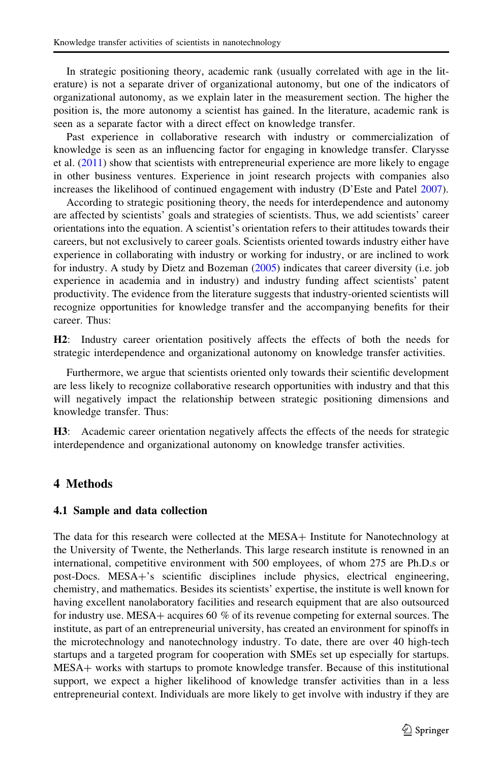In strategic positioning theory, academic rank (usually correlated with age in the literature) is not a separate driver of organizational autonomy, but one of the indicators of organizational autonomy, as we explain later in the measurement section. The higher the position is, the more autonomy a scientist has gained. In the literature, academic rank is seen as a separate factor with a direct effect on knowledge transfer.

Past experience in collaborative research with industry or commercialization of knowledge is seen as an influencing factor for engaging in knowledge transfer. Clarysse et al. [\(2011](#page-18-0)) show that scientists with entrepreneurial experience are more likely to engage in other business ventures. Experience in joint research projects with companies also increases the likelihood of continued engagement with industry (D'Este and Patel [2007\)](#page-18-0).

According to strategic positioning theory, the needs for interdependence and autonomy are affected by scientists' goals and strategies of scientists. Thus, we add scientists' career orientations into the equation. A scientist's orientation refers to their attitudes towards their careers, but not exclusively to career goals. Scientists oriented towards industry either have experience in collaborating with industry or working for industry, or are inclined to work for industry. A study by Dietz and Bozeman ([2005\)](#page-18-0) indicates that career diversity (i.e. job experience in academia and in industry) and industry funding affect scientists' patent productivity. The evidence from the literature suggests that industry-oriented scientists will recognize opportunities for knowledge transfer and the accompanying benefits for their career. Thus:

H2: Industry career orientation positively affects the effects of both the needs for strategic interdependence and organizational autonomy on knowledge transfer activities.

Furthermore, we argue that scientists oriented only towards their scientific development are less likely to recognize collaborative research opportunities with industry and that this will negatively impact the relationship between strategic positioning dimensions and knowledge transfer. Thus:

H3: Academic career orientation negatively affects the effects of the needs for strategic interdependence and organizational autonomy on knowledge transfer activities.

## 4 Methods

#### 4.1 Sample and data collection

The data for this research were collected at the MESA+ Institute for Nanotechnology at the University of Twente, the Netherlands. This large research institute is renowned in an international, competitive environment with 500 employees, of whom 275 are Ph.D.s or post-Docs. MESA+'s scientific disciplines include physics, electrical engineering, chemistry, and mathematics. Besides its scientists' expertise, the institute is well known for having excellent nanolaboratory facilities and research equipment that are also outsourced for industry use. MESA $+$  acquires 60 % of its revenue competing for external sources. The institute, as part of an entrepreneurial university, has created an environment for spinoffs in the microtechnology and nanotechnology industry. To date, there are over 40 high-tech startups and a targeted program for cooperation with SMEs set up especially for startups. MESA+ works with startups to promote knowledge transfer. Because of this institutional support, we expect a higher likelihood of knowledge transfer activities than in a less entrepreneurial context. Individuals are more likely to get involve with industry if they are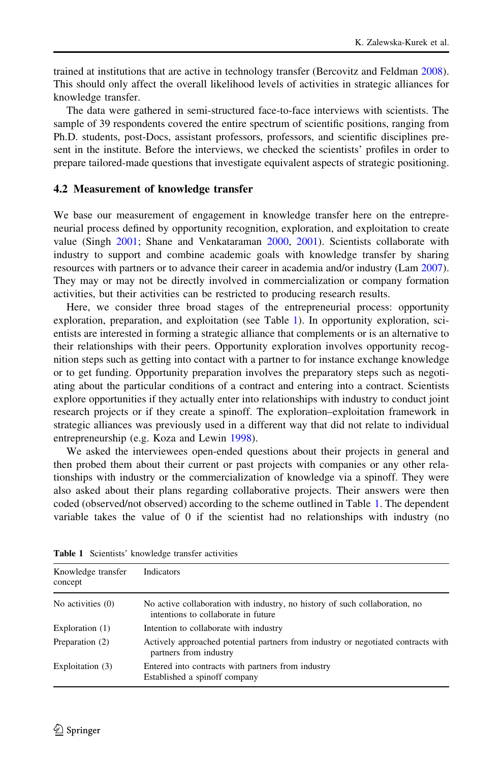<span id="page-7-0"></span>trained at institutions that are active in technology transfer (Bercovitz and Feldman [2008](#page-17-0)). This should only affect the overall likelihood levels of activities in strategic alliances for knowledge transfer.

The data were gathered in semi-structured face-to-face interviews with scientists. The sample of 39 respondents covered the entire spectrum of scientific positions, ranging from Ph.D. students, post-Docs, assistant professors, professors, and scientific disciplines present in the institute. Before the interviews, we checked the scientists' profiles in order to prepare tailored-made questions that investigate equivalent aspects of strategic positioning.

#### 4.2 Measurement of knowledge transfer

We base our measurement of engagement in knowledge transfer here on the entrepreneurial process defined by opportunity recognition, exploration, and exploitation to create value (Singh [2001;](#page-19-0) Shane and Venkataraman [2000](#page-19-0), [2001](#page-19-0)). Scientists collaborate with industry to support and combine academic goals with knowledge transfer by sharing resources with partners or to advance their career in academia and/or industry (Lam [2007](#page-18-0)). They may or may not be directly involved in commercialization or company formation activities, but their activities can be restricted to producing research results.

Here, we consider three broad stages of the entrepreneurial process: opportunity exploration, preparation, and exploitation (see Table 1). In opportunity exploration, scientists are interested in forming a strategic alliance that complements or is an alternative to their relationships with their peers. Opportunity exploration involves opportunity recognition steps such as getting into contact with a partner to for instance exchange knowledge or to get funding. Opportunity preparation involves the preparatory steps such as negotiating about the particular conditions of a contract and entering into a contract. Scientists explore opportunities if they actually enter into relationships with industry to conduct joint research projects or if they create a spinoff. The exploration–exploitation framework in strategic alliances was previously used in a different way that did not relate to individual entrepreneurship (e.g. Koza and Lewin [1998](#page-18-0)).

We asked the interviewees open-ended questions about their projects in general and then probed them about their current or past projects with companies or any other relationships with industry or the commercialization of knowledge via a spinoff. They were also asked about their plans regarding collaborative projects. Their answers were then coded (observed/not observed) according to the scheme outlined in Table 1. The dependent variable takes the value of 0 if the scientist had no relationships with industry (no

| Knowledge transfer<br>concept | Indicators                                                                                                         |
|-------------------------------|--------------------------------------------------------------------------------------------------------------------|
| No activities $(0)$           | No active collaboration with industry, no history of such collaboration, no<br>intentions to collaborate in future |
| Exploration (1)               | Intention to collaborate with industry                                                                             |
| Preparation (2)               | Actively approached potential partners from industry or negotiated contracts with<br>partners from industry        |
| Exploitation (3)              | Entered into contracts with partners from industry<br>Established a spinoff company                                |

Table 1 Scientists' knowledge transfer activities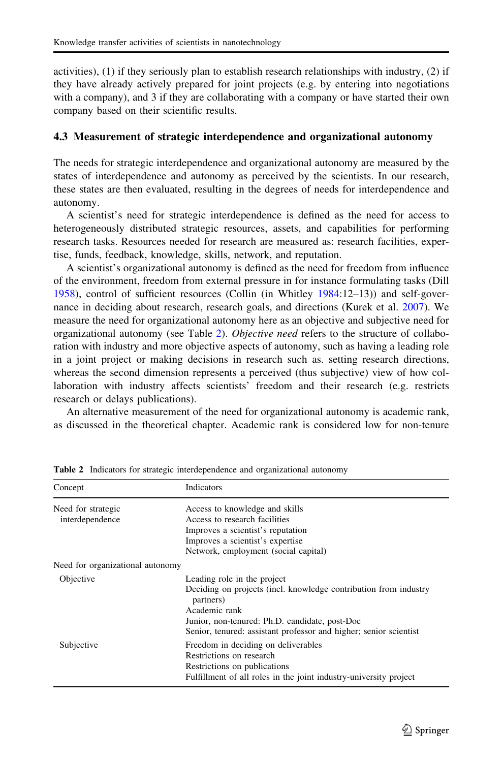activities), (1) if they seriously plan to establish research relationships with industry, (2) if they have already actively prepared for joint projects (e.g. by entering into negotiations with a company), and 3 if they are collaborating with a company or have started their own company based on their scientific results.

## 4.3 Measurement of strategic interdependence and organizational autonomy

The needs for strategic interdependence and organizational autonomy are measured by the states of interdependence and autonomy as perceived by the scientists. In our research, these states are then evaluated, resulting in the degrees of needs for interdependence and autonomy.

A scientist's need for strategic interdependence is defined as the need for access to heterogeneously distributed strategic resources, assets, and capabilities for performing research tasks. Resources needed for research are measured as: research facilities, expertise, funds, feedback, knowledge, skills, network, and reputation.

A scientist's organizational autonomy is defined as the need for freedom from influence of the environment, freedom from external pressure in for instance formulating tasks (Dill [1958\)](#page-18-0), control of sufficient resources (Collin (in Whitley [1984:](#page-19-0)12–13)) and self-governance in deciding about research, research goals, and directions (Kurek et al. [2007\)](#page-18-0). We measure the need for organizational autonomy here as an objective and subjective need for organizational autonomy (see Table 2). Objective need refers to the structure of collaboration with industry and more objective aspects of autonomy, such as having a leading role in a joint project or making decisions in research such as. setting research directions, whereas the second dimension represents a perceived (thus subjective) view of how collaboration with industry affects scientists' freedom and their research (e.g. restricts research or delays publications).

An alternative measurement of the need for organizational autonomy is academic rank, as discussed in the theoretical chapter. Academic rank is considered low for non-tenure

| Concept                               | Indicators                                                                                                                                                                                                                                           |
|---------------------------------------|------------------------------------------------------------------------------------------------------------------------------------------------------------------------------------------------------------------------------------------------------|
| Need for strategic<br>interdependence | Access to knowledge and skills<br>Access to research facilities<br>Improves a scientist's reputation<br>Improves a scientist's expertise<br>Network, employment (social capital)                                                                     |
| Need for organizational autonomy      |                                                                                                                                                                                                                                                      |
| Objective                             | Leading role in the project<br>Deciding on projects (incl. knowledge contribution from industry<br>partners)<br>Academic rank<br>Junior, non-tenured: Ph.D. candidate, post-Doc<br>Senior, tenured: assistant professor and higher; senior scientist |
| Subjective                            | Freedom in deciding on deliverables<br>Restrictions on research<br>Restrictions on publications<br>Fulfillment of all roles in the joint industry-university project                                                                                 |

Table 2 Indicators for strategic interdependence and organizational autonomy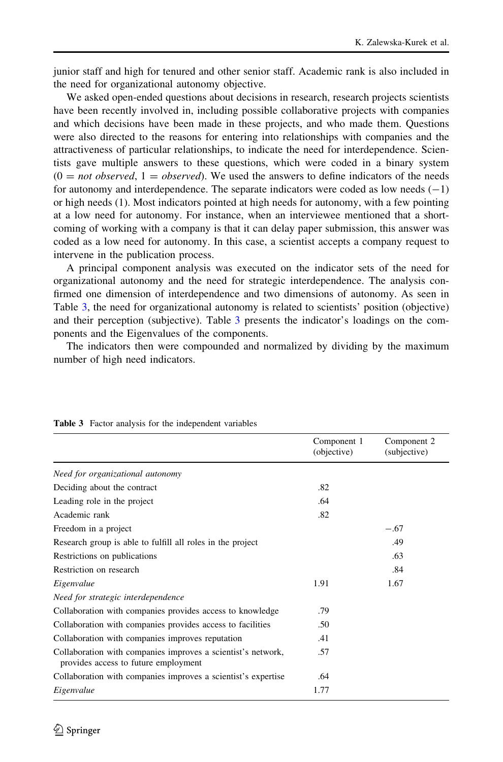junior staff and high for tenured and other senior staff. Academic rank is also included in the need for organizational autonomy objective.

We asked open-ended questions about decisions in research, research projects scientists have been recently involved in, including possible collaborative projects with companies and which decisions have been made in these projects, and who made them. Questions were also directed to the reasons for entering into relationships with companies and the attractiveness of particular relationships, to indicate the need for interdependence. Scientists gave multiple answers to these questions, which were coded in a binary system  $(0 = not observed, 1 = observed)$ . We used the answers to define indicators of the needs for autonomy and interdependence. The separate indicators were coded as low needs  $(-1)$ or high needs (1). Most indicators pointed at high needs for autonomy, with a few pointing at a low need for autonomy. For instance, when an interviewee mentioned that a shortcoming of working with a company is that it can delay paper submission, this answer was coded as a low need for autonomy. In this case, a scientist accepts a company request to intervene in the publication process.

A principal component analysis was executed on the indicator sets of the need for organizational autonomy and the need for strategic interdependence. The analysis confirmed one dimension of interdependence and two dimensions of autonomy. As seen in Table 3, the need for organizational autonomy is related to scientists' position (objective) and their perception (subjective). Table 3 presents the indicator's loadings on the components and the Eigenvalues of the components.

The indicators then were compounded and normalized by dividing by the maximum number of high need indicators.

|                                                                                                      | Component 1 | Component 2  |  |
|------------------------------------------------------------------------------------------------------|-------------|--------------|--|
|                                                                                                      | (objective) | (subjective) |  |
| Need for organizational autonomy                                                                     |             |              |  |
| Deciding about the contract                                                                          | .82         |              |  |
| Leading role in the project                                                                          | .64         |              |  |
| Academic rank                                                                                        | .82         |              |  |
| Freedom in a project                                                                                 |             | $-.67$       |  |
| Research group is able to fulfill all roles in the project                                           |             | .49          |  |
| Restrictions on publications                                                                         |             | .63          |  |
| Restriction on research                                                                              |             | .84          |  |
| Eigenvalue                                                                                           | 1.91        | 1.67         |  |
| Need for strategic interdependence                                                                   |             |              |  |
| Collaboration with companies provides access to knowledge                                            | .79         |              |  |
| Collaboration with companies provides access to facilities                                           | .50         |              |  |
| Collaboration with companies improves reputation                                                     | .41         |              |  |
| Collaboration with companies improves a scientist's network,<br>provides access to future employment | .57         |              |  |
| Collaboration with companies improves a scientist's expertise                                        | .64         |              |  |
| Eigenvalue                                                                                           | 1.77        |              |  |

Table 3 Factor analysis for the independent variables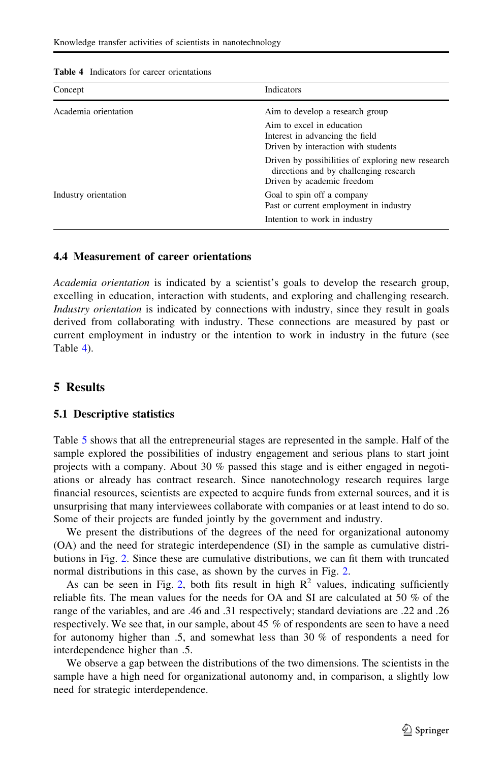| Concept              | <b>Indicators</b>                                                                                                         |  |  |  |
|----------------------|---------------------------------------------------------------------------------------------------------------------------|--|--|--|
| Academia orientation | Aim to develop a research group<br>Aim to excel in education                                                              |  |  |  |
|                      | Interest in advancing the field<br>Driven by interaction with students                                                    |  |  |  |
|                      | Driven by possibilities of exploring new research<br>directions and by challenging research<br>Driven by academic freedom |  |  |  |
| Industry orientation | Goal to spin off a company<br>Past or current employment in industry                                                      |  |  |  |
|                      | Intention to work in industry                                                                                             |  |  |  |

Table 4 Indicators for career orientations

#### 4.4 Measurement of career orientations

Academia orientation is indicated by a scientist's goals to develop the research group, excelling in education, interaction with students, and exploring and challenging research. Industry orientation is indicated by connections with industry, since they result in goals derived from collaborating with industry. These connections are measured by past or current employment in industry or the intention to work in industry in the future (see Table 4).

## 5 Results

#### 5.1 Descriptive statistics

Table [5](#page-11-0) shows that all the entrepreneurial stages are represented in the sample. Half of the sample explored the possibilities of industry engagement and serious plans to start joint projects with a company. About 30 % passed this stage and is either engaged in negotiations or already has contract research. Since nanotechnology research requires large financial resources, scientists are expected to acquire funds from external sources, and it is unsurprising that many interviewees collaborate with companies or at least intend to do so. Some of their projects are funded jointly by the government and industry.

We present the distributions of the degrees of the need for organizational autonomy (OA) and the need for strategic interdependence (SI) in the sample as cumulative distributions in Fig. [2.](#page-11-0) Since these are cumulative distributions, we can fit them with truncated normal distributions in this case, as shown by the curves in Fig. [2](#page-11-0).

As can be seen in Fig. [2,](#page-11-0) both fits result in high  $R^2$  values, indicating sufficiently reliable fits. The mean values for the needs for OA and SI are calculated at 50 % of the range of the variables, and are .46 and .31 respectively; standard deviations are .22 and .26 respectively. We see that, in our sample, about 45 % of respondents are seen to have a need for autonomy higher than .5, and somewhat less than 30 % of respondents a need for interdependence higher than .5.

We observe a gap between the distributions of the two dimensions. The scientists in the sample have a high need for organizational autonomy and, in comparison, a slightly low need for strategic interdependence.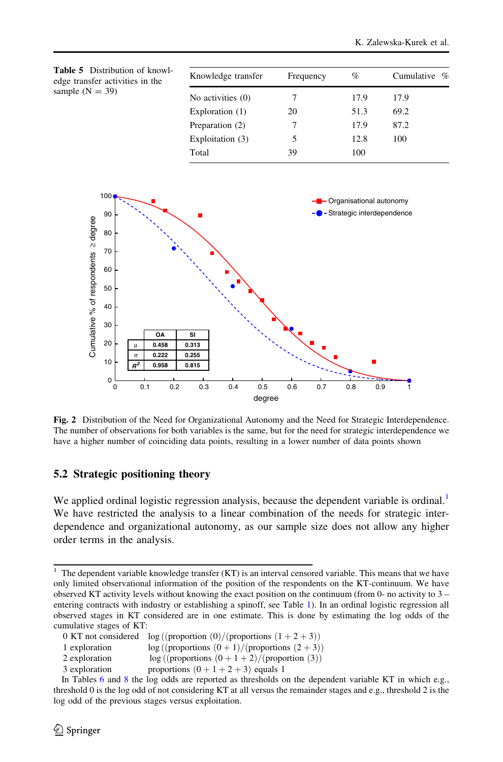<span id="page-11-0"></span>

Fig. 2 Distribution of the Need for Organizational Autonomy and the Need for Strategic Interdependence. The number of observations for both variables is the same, but for the need for strategic interdependence we have a higher number of coinciding data points, resulting in a lower number of data points shown

## 5.2 Strategic positioning theory

We applied ordinal logistic regression analysis, because the dependent variable is ordinal. We have restricted the analysis to a linear combination of the needs for strategic interdependence and organizational autonomy, as our sample size does not allow any higher order terms in the analysis.

0 KT not considered  $log ((proportion (0)/(proportions (1 + 2 + 3)))$ 

- 1 exploration log ((proportions  $(0 + 1) / ($ proportions  $(2 + 3)$ )
- 2 exploration log ((proportions  $(0 + 1 + 2) / ($ proportion  $(3)$ )
- 3 exploration proportions  $(0+1+2+3)$  equals 1

<sup>&</sup>lt;sup>1</sup> The dependent variable knowledge transfer (KT) is an interval censored variable. This means that we have only limited observational information of the position of the respondents on the KT-continuum. We have observed KT activity levels without knowing the exact position on the continuum (from 0- no activity to 3 – entering contracts with industry or establishing a spinoff, see Table [1](#page-7-0)). In an ordinal logistic regression all observed stages in KT considered are in one estimate. This is done by estimating the log odds of the cumulative stages of KT:

In Tables [6](#page-12-0) and [8](#page-16-0) the log odds are reported as thresholds on the dependent variable KT in which e.g., threshold 0 is the log odd of not considering KT at all versus the remainder stages and e.g., threshold 2 is the log odd of the previous stages versus exploitation.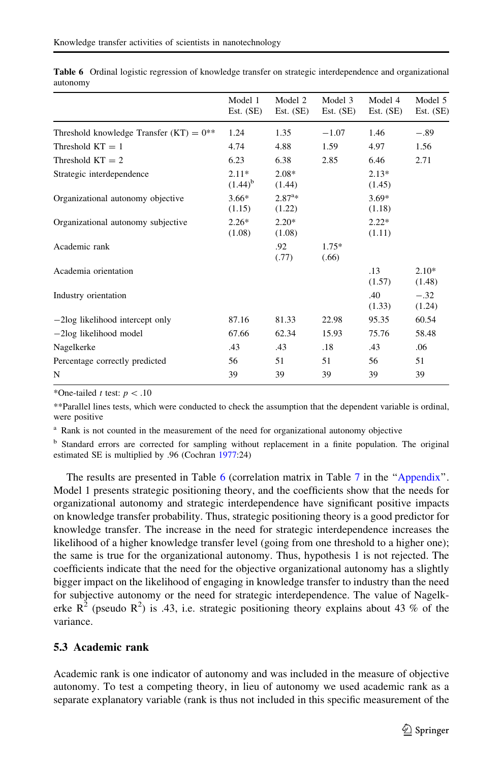|                                              | Model 1<br>Est. $(SE)$  | Model 2<br>Est. (SE)  | Model 3<br>Est. $(SE)$ | Model 4<br>Est. $(SE)$ | Model 5<br>Est. (SE) |
|----------------------------------------------|-------------------------|-----------------------|------------------------|------------------------|----------------------|
| Threshold knowledge Transfer $(KT) = 0^{**}$ | 1.24                    | 1.35                  | $-1.07$                | 1.46                   | $-.89$               |
| Threshold $KT = 1$                           | 4.74                    | 4.88                  | 1.59                   | 4.97                   | 1.56                 |
| Threshold $KT = 2$                           | 6.23                    | 6.38                  | 2.85                   | 6.46                   | 2.71                 |
| Strategic interdependence                    | $2.11*$<br>$(1.44)^{b}$ | $2.08*$<br>(1.44)     |                        | $2.13*$<br>(1.45)      |                      |
| Organizational autonomy objective            | $3.66*$<br>(1.15)       | $2.87^{a*}$<br>(1.22) |                        | $3.69*$<br>(1.18)      |                      |
| Organizational autonomy subjective           | $2.26*$<br>(1.08)       | $2.20*$<br>(1.08)     |                        | $2.22*$<br>(1.11)      |                      |
| Academic rank                                |                         | .92<br>(.77)          | $1.75*$<br>(.66)       |                        |                      |
| Academia orientation                         |                         |                       |                        | .13<br>(1.57)          | $2.10*$<br>(1.48)    |
| Industry orientation                         |                         |                       |                        | .40<br>(1.33)          | $-.32$<br>(1.24)     |
| $-2\log$ likelihood intercept only           | 87.16                   | 81.33                 | 22.98                  | 95.35                  | 60.54                |
| $-2\log$ likelihood model                    | 67.66                   | 62.34                 | 15.93                  | 75.76                  | 58.48                |
| Nagelkerke                                   | .43                     | .43                   | .18                    | .43                    | .06                  |
| Percentage correctly predicted               | 56                      | 51                    | 51                     | 56                     | 51                   |
| N                                            | 39                      | 39                    | 39                     | 39                     | 39                   |

<span id="page-12-0"></span>Table 6 Ordinal logistic regression of knowledge transfer on strategic interdependence and organizational autonomy

\*One-tailed t test:  $p < .10$ 

\*\*Parallel lines tests, which were conducted to check the assumption that the dependent variable is ordinal, were positive

<sup>a</sup> Rank is not counted in the measurement of the need for organizational autonomy objective

<sup>b</sup> Standard errors are corrected for sampling without replacement in a finite population. The original estimated SE is multiplied by .96 (Cochran [1977:](#page-18-0)24)

The results are presented in Table 6 (correlation matrix in Table [7](#page-16-0) in the "[Appendix](#page-16-0)". Model 1 presents strategic positioning theory, and the coefficients show that the needs for organizational autonomy and strategic interdependence have significant positive impacts on knowledge transfer probability. Thus, strategic positioning theory is a good predictor for knowledge transfer. The increase in the need for strategic interdependence increases the likelihood of a higher knowledge transfer level (going from one threshold to a higher one); the same is true for the organizational autonomy. Thus, hypothesis 1 is not rejected. The coefficients indicate that the need for the objective organizational autonomy has a slightly bigger impact on the likelihood of engaging in knowledge transfer to industry than the need for subjective autonomy or the need for strategic interdependence. The value of Nagelkerke  $\mathbb{R}^2$  (pseudo  $\mathbb{R}^2$ ) is .43, i.e. strategic positioning theory explains about 43 % of the variance.

## 5.3 Academic rank

Academic rank is one indicator of autonomy and was included in the measure of objective autonomy. To test a competing theory, in lieu of autonomy we used academic rank as a separate explanatory variable (rank is thus not included in this specific measurement of the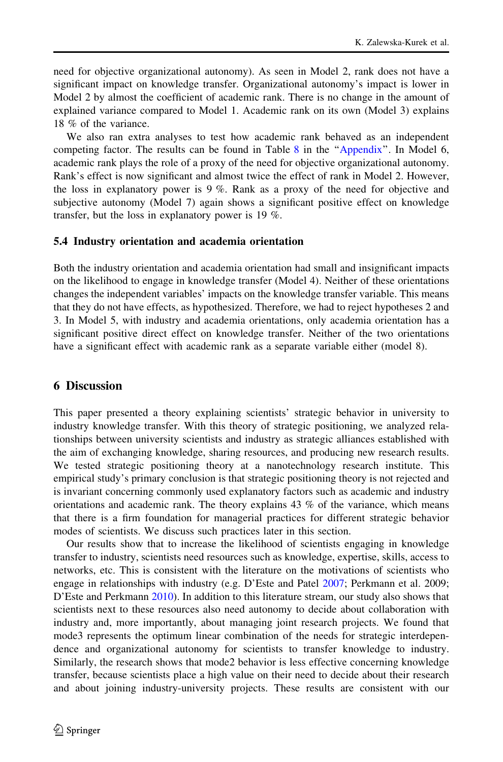need for objective organizational autonomy). As seen in Model 2, rank does not have a significant impact on knowledge transfer. Organizational autonomy's impact is lower in Model 2 by almost the coefficient of academic rank. There is no change in the amount of explained variance compared to Model 1. Academic rank on its own (Model 3) explains 18 % of the variance.

We also ran extra analyses to test how academic rank behaved as an independent competing factor. The results can be found in Table [8](#page-16-0) in the ''[Appendix](#page-16-0)''. In Model 6, academic rank plays the role of a proxy of the need for objective organizational autonomy. Rank's effect is now significant and almost twice the effect of rank in Model 2. However, the loss in explanatory power is 9 %. Rank as a proxy of the need for objective and subjective autonomy (Model 7) again shows a significant positive effect on knowledge transfer, but the loss in explanatory power is 19 %.

#### 5.4 Industry orientation and academia orientation

Both the industry orientation and academia orientation had small and insignificant impacts on the likelihood to engage in knowledge transfer (Model 4). Neither of these orientations changes the independent variables' impacts on the knowledge transfer variable. This means that they do not have effects, as hypothesized. Therefore, we had to reject hypotheses 2 and 3. In Model 5, with industry and academia orientations, only academia orientation has a significant positive direct effect on knowledge transfer. Neither of the two orientations have a significant effect with academic rank as a separate variable either (model 8).

## 6 Discussion

This paper presented a theory explaining scientists' strategic behavior in university to industry knowledge transfer. With this theory of strategic positioning, we analyzed relationships between university scientists and industry as strategic alliances established with the aim of exchanging knowledge, sharing resources, and producing new research results. We tested strategic positioning theory at a nanotechnology research institute. This empirical study's primary conclusion is that strategic positioning theory is not rejected and is invariant concerning commonly used explanatory factors such as academic and industry orientations and academic rank. The theory explains 43 % of the variance, which means that there is a firm foundation for managerial practices for different strategic behavior modes of scientists. We discuss such practices later in this section.

Our results show that to increase the likelihood of scientists engaging in knowledge transfer to industry, scientists need resources such as knowledge, expertise, skills, access to networks, etc. This is consistent with the literature on the motivations of scientists who engage in relationships with industry (e.g. D'Este and Patel [2007;](#page-18-0) Perkmann et al. 2009; D'Este and Perkmann [2010\)](#page-18-0). In addition to this literature stream, our study also shows that scientists next to these resources also need autonomy to decide about collaboration with industry and, more importantly, about managing joint research projects. We found that mode3 represents the optimum linear combination of the needs for strategic interdependence and organizational autonomy for scientists to transfer knowledge to industry. Similarly, the research shows that mode2 behavior is less effective concerning knowledge transfer, because scientists place a high value on their need to decide about their research and about joining industry-university projects. These results are consistent with our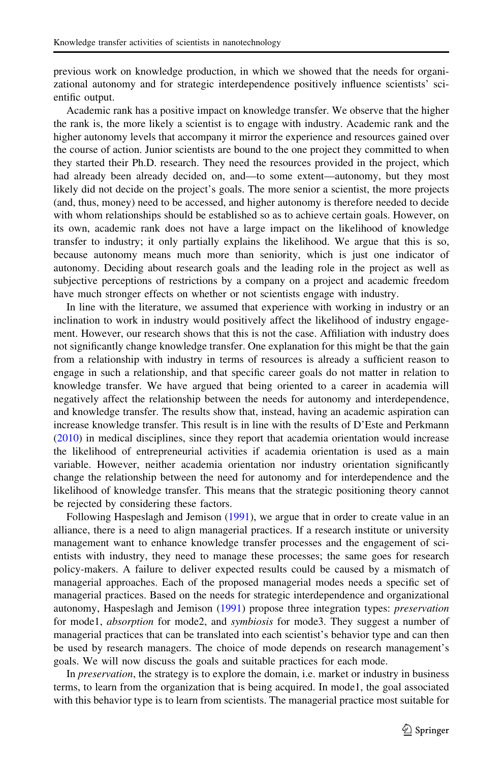previous work on knowledge production, in which we showed that the needs for organizational autonomy and for strategic interdependence positively influence scientists' scientific output.

Academic rank has a positive impact on knowledge transfer. We observe that the higher the rank is, the more likely a scientist is to engage with industry. Academic rank and the higher autonomy levels that accompany it mirror the experience and resources gained over the course of action. Junior scientists are bound to the one project they committed to when they started their Ph.D. research. They need the resources provided in the project, which had already been already decided on, and—to some extent—autonomy, but they most likely did not decide on the project's goals. The more senior a scientist, the more projects (and, thus, money) need to be accessed, and higher autonomy is therefore needed to decide with whom relationships should be established so as to achieve certain goals. However, on its own, academic rank does not have a large impact on the likelihood of knowledge transfer to industry; it only partially explains the likelihood. We argue that this is so, because autonomy means much more than seniority, which is just one indicator of autonomy. Deciding about research goals and the leading role in the project as well as subjective perceptions of restrictions by a company on a project and academic freedom have much stronger effects on whether or not scientists engage with industry.

In line with the literature, we assumed that experience with working in industry or an inclination to work in industry would positively affect the likelihood of industry engagement. However, our research shows that this is not the case. Affiliation with industry does not significantly change knowledge transfer. One explanation for this might be that the gain from a relationship with industry in terms of resources is already a sufficient reason to engage in such a relationship, and that specific career goals do not matter in relation to knowledge transfer. We have argued that being oriented to a career in academia will negatively affect the relationship between the needs for autonomy and interdependence, and knowledge transfer. The results show that, instead, having an academic aspiration can increase knowledge transfer. This result is in line with the results of D'Este and Perkmann ([2010\)](#page-18-0) in medical disciplines, since they report that academia orientation would increase the likelihood of entrepreneurial activities if academia orientation is used as a main variable. However, neither academia orientation nor industry orientation significantly change the relationship between the need for autonomy and for interdependence and the likelihood of knowledge transfer. This means that the strategic positioning theory cannot be rejected by considering these factors.

Following Haspeslagh and Jemison ([1991\)](#page-18-0), we argue that in order to create value in an alliance, there is a need to align managerial practices. If a research institute or university management want to enhance knowledge transfer processes and the engagement of scientists with industry, they need to manage these processes; the same goes for research policy-makers. A failure to deliver expected results could be caused by a mismatch of managerial approaches. Each of the proposed managerial modes needs a specific set of managerial practices. Based on the needs for strategic interdependence and organizational autonomy, Haspeslagh and Jemison [\(1991](#page-18-0)) propose three integration types: preservation for mode1, *absorption* for mode2, and *symbiosis* for mode3. They suggest a number of managerial practices that can be translated into each scientist's behavior type and can then be used by research managers. The choice of mode depends on research management's goals. We will now discuss the goals and suitable practices for each mode.

In *preservation*, the strategy is to explore the domain, i.e. market or industry in business terms, to learn from the organization that is being acquired. In mode1, the goal associated with this behavior type is to learn from scientists. The managerial practice most suitable for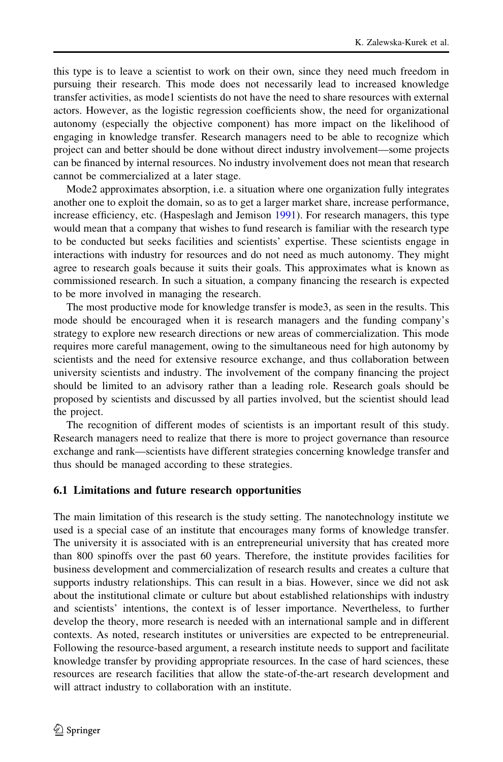this type is to leave a scientist to work on their own, since they need much freedom in pursuing their research. This mode does not necessarily lead to increased knowledge transfer activities, as mode1 scientists do not have the need to share resources with external actors. However, as the logistic regression coefficients show, the need for organizational autonomy (especially the objective component) has more impact on the likelihood of engaging in knowledge transfer. Research managers need to be able to recognize which project can and better should be done without direct industry involvement—some projects can be financed by internal resources. No industry involvement does not mean that research cannot be commercialized at a later stage.

Mode2 approximates absorption, i.e. a situation where one organization fully integrates another one to exploit the domain, so as to get a larger market share, increase performance, increase efficiency, etc. (Haspeslagh and Jemison [1991](#page-18-0)). For research managers, this type would mean that a company that wishes to fund research is familiar with the research type to be conducted but seeks facilities and scientists' expertise. These scientists engage in interactions with industry for resources and do not need as much autonomy. They might agree to research goals because it suits their goals. This approximates what is known as commissioned research. In such a situation, a company financing the research is expected to be more involved in managing the research.

The most productive mode for knowledge transfer is mode3, as seen in the results. This mode should be encouraged when it is research managers and the funding company's strategy to explore new research directions or new areas of commercialization. This mode requires more careful management, owing to the simultaneous need for high autonomy by scientists and the need for extensive resource exchange, and thus collaboration between university scientists and industry. The involvement of the company financing the project should be limited to an advisory rather than a leading role. Research goals should be proposed by scientists and discussed by all parties involved, but the scientist should lead the project.

The recognition of different modes of scientists is an important result of this study. Research managers need to realize that there is more to project governance than resource exchange and rank—scientists have different strategies concerning knowledge transfer and thus should be managed according to these strategies.

#### 6.1 Limitations and future research opportunities

The main limitation of this research is the study setting. The nanotechnology institute we used is a special case of an institute that encourages many forms of knowledge transfer. The university it is associated with is an entrepreneurial university that has created more than 800 spinoffs over the past 60 years. Therefore, the institute provides facilities for business development and commercialization of research results and creates a culture that supports industry relationships. This can result in a bias. However, since we did not ask about the institutional climate or culture but about established relationships with industry and scientists' intentions, the context is of lesser importance. Nevertheless, to further develop the theory, more research is needed with an international sample and in different contexts. As noted, research institutes or universities are expected to be entrepreneurial. Following the resource-based argument, a research institute needs to support and facilitate knowledge transfer by providing appropriate resources. In the case of hard sciences, these resources are research facilities that allow the state-of-the-art research development and will attract industry to collaboration with an institute.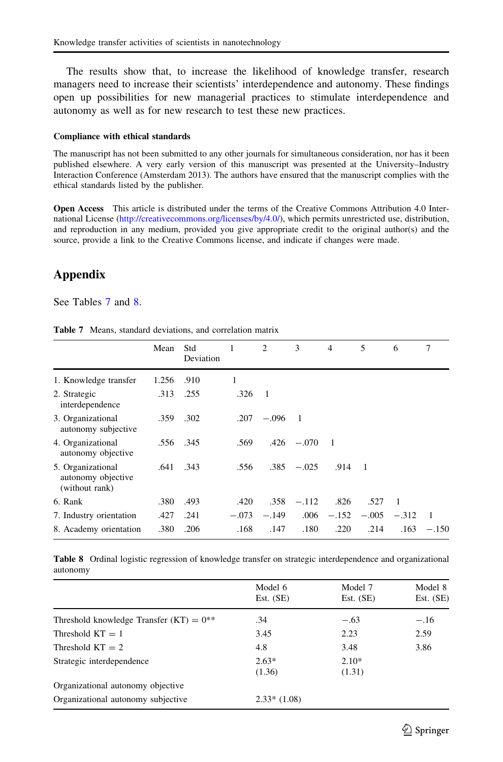<span id="page-16-0"></span>The results show that, to increase the likelihood of knowledge transfer, research managers need to increase their scientists' interdependence and autonomy. These findings open up possibilities for new managerial practices to stimulate interdependence and autonomy as well as for new research to test these new practices.

#### Compliance with ethical standards

The manuscript has not been submitted to any other journals for simultaneous consideration, nor has it been published elsewhere. A very early version of this manuscript was presented at the University–Industry Interaction Conference (Amsterdam 2013). The authors have ensured that the manuscript complies with the ethical standards listed by the publisher.

Open Access This article is distributed under the terms of the Creative Commons Attribution 4.0 International License [\(http://creativecommons.org/licenses/by/4.0/\)](http://creativecommons.org/licenses/by/4.0/), which permits unrestricted use, distribution, and reproduction in any medium, provided you give appropriate credit to the original author(s) and the source, provide a link to the Creative Commons license, and indicate if changes were made.

## Appendix

See Tables 7 and 8.

|                                                           | Mean  | Std<br>Deviation | $\mathbf{1}$ | 2              | 3              | $\overline{4}$ | 5              | 6              | 7              |
|-----------------------------------------------------------|-------|------------------|--------------|----------------|----------------|----------------|----------------|----------------|----------------|
| 1. Knowledge transfer                                     | 1.256 | .910             | 1            |                |                |                |                |                |                |
| 2. Strategic<br>interdependence                           | .313  | .255             | .326         | $\overline{1}$ |                |                |                |                |                |
| 3. Organizational<br>autonomy subjective                  | .359  | .302             | .207         | $-.096$        | $\overline{1}$ |                |                |                |                |
| 4. Organizational<br>autonomy objective                   | .556  | .345             | .569         | .426           | $-.070$        | $\overline{1}$ |                |                |                |
| 5. Organizational<br>autonomy objective<br>(without rank) | .641  | .343             | .556         | .385           | $-.025$        | .914           | $\overline{1}$ |                |                |
| 6. Rank                                                   | .380  | .493             | .420         | .358           | $-.112$        | .826           | .527           | $\overline{1}$ |                |
| 7. Industry orientation                                   | .427  | .241             | $-.073$      | $-.149$        | .006           | $-.152$        | $-.005$        | $-.312$        | $\overline{1}$ |
| 8. Academy orientation                                    | .380  | .206             | .168         | .147           | .180           | .220           | .214           | .163           | $-.150$        |

Table 7 Means, standard deviations, and correlation matrix

Table 8 Ordinal logistic regression of knowledge transfer on strategic interdependence and organizational autonomy

|                                              | Model 6<br>Est. (SE) | Model 7<br>Est. (SE) | Model 8<br>Est. (SE) |
|----------------------------------------------|----------------------|----------------------|----------------------|
| Threshold knowledge Transfer $(KT) = 0^{**}$ | .34                  | $-.63$               | $-.16$               |
| Threshold $KT = 1$                           | 3.45                 | 2.23                 | 2.59                 |
| Threshold $KT = 2$                           | 4.8                  | 3.48                 | 3.86                 |
| Strategic interdependence                    | $2.63*$<br>(1.36)    | $2.10*$<br>(1.31)    |                      |
| Organizational autonomy objective            |                      |                      |                      |
| Organizational autonomy subjective           | $2.33*(1.08)$        |                      |                      |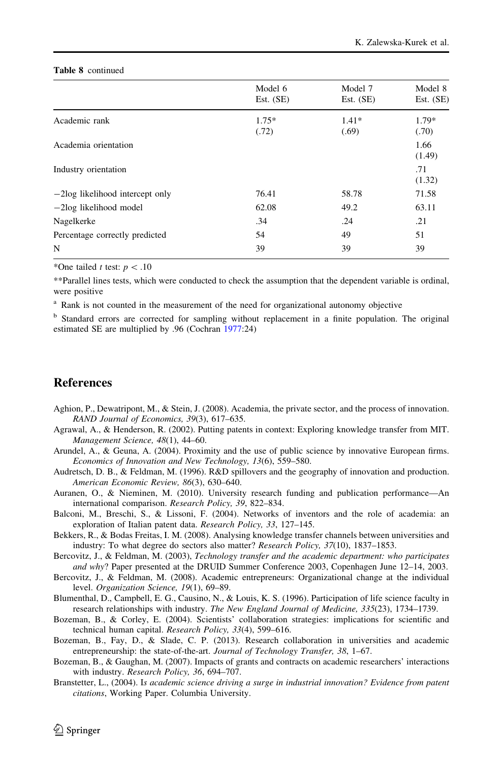#### <span id="page-17-0"></span>Table 8 continued

|                                    | Model 6<br>Est. (SE) | Model 7<br>Est. $(SE)$ | Model 8<br>Est. (SE) |
|------------------------------------|----------------------|------------------------|----------------------|
| Academic rank                      | $1.75*$<br>(.72)     | $1.41*$<br>(.69)       | $1.79*$<br>(.70)     |
| Academia orientation               |                      |                        | 1.66<br>(1.49)       |
| Industry orientation               |                      |                        | .71<br>(1.32)        |
| $-2\log$ likelihood intercept only | 76.41                | 58.78                  | 71.58                |
| $-2\log$ likelihood model          | 62.08                | 49.2                   | 63.11                |
| Nagelkerke                         | .34                  | .24                    | .21                  |
| Percentage correctly predicted     | 54                   | 49                     | 51                   |
| N                                  | 39                   | 39                     | 39                   |

\*One tailed t test:  $p < .10$ 

\*\*Parallel lines tests, which were conducted to check the assumption that the dependent variable is ordinal, were positive

<sup>a</sup> Rank is not counted in the measurement of the need for organizational autonomy objective

<sup>b</sup> Standard errors are corrected for sampling without replacement in a finite population. The original estimated SE are multiplied by .96 (Cochran [1977](#page-18-0):24)

## References

- Aghion, P., Dewatripont, M., & Stein, J. (2008). Academia, the private sector, and the process of innovation. RAND Journal of Economics, 39(3), 617–635.
- Agrawal, A., & Henderson, R. (2002). Putting patents in context: Exploring knowledge transfer from MIT. Management Science, 48(1), 44–60.
- Arundel, A., & Geuna, A. (2004). Proximity and the use of public science by innovative European firms. Economics of Innovation and New Technology, 13(6), 559–580.
- Audretsch, D. B., & Feldman, M. (1996). R&D spillovers and the geography of innovation and production. American Economic Review, 86(3), 630–640.
- Auranen, O., & Nieminen, M. (2010). University research funding and publication performance—An international comparison. Research Policy, 39, 822–834.
- Balconi, M., Breschi, S., & Lissoni, F. (2004). Networks of inventors and the role of academia: an exploration of Italian patent data. Research Policy, 33, 127–145.
- Bekkers, R., & Bodas Freitas, I. M. (2008). Analysing knowledge transfer channels between universities and industry: To what degree do sectors also matter? Research Policy, 37(10), 1837–1853.
- Bercovitz, J., & Feldman, M. (2003), Technology transfer and the academic department: who participates and why? Paper presented at the DRUID Summer Conference 2003, Copenhagen June 12–14, 2003.
- Bercovitz, J., & Feldman, M. (2008). Academic entrepreneurs: Organizational change at the individual level. Organization Science, 19(1), 69–89.
- Blumenthal, D., Campbell, E. G., Causino, N., & Louis, K. S. (1996). Participation of life science faculty in research relationships with industry. The New England Journal of Medicine, 335(23), 1734–1739.
- Bozeman, B., & Corley, E. (2004). Scientists' collaboration strategies: implications for scientific and technical human capital. Research Policy, 33(4), 599–616.
- Bozeman, B., Fay, D., & Slade, C. P. (2013). Research collaboration in universities and academic entrepreneurship: the state-of-the-art. Journal of Technology Transfer, 38, 1–67.
- Bozeman, B., & Gaughan, M. (2007). Impacts of grants and contracts on academic researchers' interactions with industry. Research Policy, 36, 694–707.
- Branstetter, L., (2004). Is academic science driving a surge in industrial innovation? Evidence from patent citations, Working Paper. Columbia University.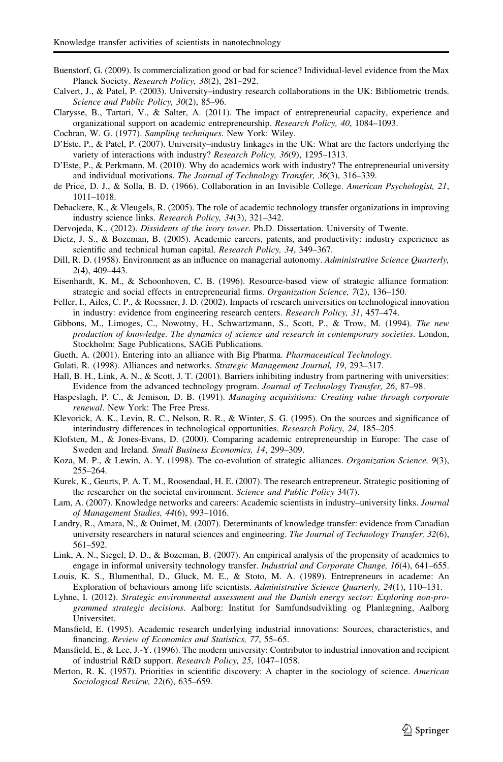- <span id="page-18-0"></span>Buenstorf, G. (2009). Is commercialization good or bad for science? Individual-level evidence from the Max Planck Society. Research Policy, 38(2), 281–292.
- Calvert, J., & Patel, P. (2003). University–industry research collaborations in the UK: Bibliometric trends. Science and Public Policy, 30(2), 85–96.
- Clarysse, B., Tartari, V., & Salter, A. (2011). The impact of entrepreneurial capacity, experience and organizational support on academic entrepreneurship. Research Policy, 40, 1084–1093.
- Cochran, W. G. (1977). Sampling techniques. New York: Wiley.
- D'Este, P., & Patel, P. (2007). University–industry linkages in the UK: What are the factors underlying the variety of interactions with industry? Research Policy, 36(9), 1295–1313.
- D'Este, P., & Perkmann, M. (2010). Why do academics work with industry? The entrepreneurial university and individual motivations. The Journal of Technology Transfer, 36(3), 316–339.
- de Price, D. J., & Solla, B. D. (1966). Collaboration in an Invisible College. American Psychologist, 21, 1011–1018.
- Debackere, K., & Vleugels, R. (2005). The role of academic technology transfer organizations in improving industry science links. Research Policy, 34(3), 321–342.
- Dervojeda, K., (2012). Dissidents of the ivory tower. Ph.D. Dissertation. University of Twente.
- Dietz, J. S., & Bozeman, B. (2005). Academic careers, patents, and productivity: industry experience as scientific and technical human capital. Research Policy, 34, 349–367.
- Dill, R. D. (1958). Environment as an influence on managerial autonomy. Administrative Science Quarterly, 2(4), 409–443.
- Eisenhardt, K. M., & Schoonhoven, C. B. (1996). Resource-based view of strategic alliance formation: strategic and social effects in entrepreneurial firms. Organization Science, 7(2), 136–150.
- Feller, I., Ailes, C. P., & Roessner, J. D. (2002). Impacts of research universities on technological innovation in industry: evidence from engineering research centers. Research Policy, 31, 457–474.
- Gibbons, M., Limoges, C., Nowotny, H., Schwartzmann, S., Scott, P., & Trow, M. (1994). The new production of knowledge. The dynamics of science and research in contemporary societies. London, Stockholm: Sage Publications, SAGE Publications.
- Gueth, A. (2001). Entering into an alliance with Big Pharma. Pharmaceutical Technology.
- Gulati, R. (1998). Alliances and networks. Strategic Management Journal, 19, 293–317.
- Hall, B. H., Link, A. N., & Scott, J. T. (2001). Barriers inhibiting industry from partnering with universities: Evidence from the advanced technology program. Journal of Technology Transfer, 26, 87–98.
- Haspeslagh, P. C., & Jemison, D. B. (1991). Managing acquisitions: Creating value through corporate renewal. New York: The Free Press.
- Klevorick, A. K., Levin, R. C., Nelson, R. R., & Winter, S. G. (1995). On the sources and significance of interindustry differences in technological opportunities. Research Policy, 24, 185–205.
- Klofsten, M., & Jones-Evans, D. (2000). Comparing academic entrepreneurship in Europe: The case of Sweden and Ireland. Small Business Economics, 14, 299–309.
- Koza, M. P., & Lewin, A. Y. (1998). The co-evolution of strategic alliances. Organization Science, 9(3), 255–264.
- Kurek, K., Geurts, P. A. T. M., Roosendaal, H. E. (2007). The research entrepreneur. Strategic positioning of the researcher on the societal environment. Science and Public Policy 34(7).
- Lam, A. (2007). Knowledge networks and careers: Academic scientists in industry–university links. Journal of Management Studies, 44(6), 993–1016.
- Landry, R., Amara, N., & Ouimet, M. (2007). Determinants of knowledge transfer: evidence from Canadian university researchers in natural sciences and engineering. The Journal of Technology Transfer, 32(6), 561–592.
- Link, A. N., Siegel, D. D., & Bozeman, B. (2007). An empirical analysis of the propensity of academics to engage in informal university technology transfer. Industrial and Corporate Change, 16(4), 641–655.
- Louis, K. S., Blumenthal, D., Gluck, M. E., & Stoto, M. A. (1989). Entrepreneurs in academe: An Exploration of behaviours among life scientists. Administrative Science Quarterly, 24(1), 110–131.
- Lyhne, I. (2012). Strategic environmental assessment and the Danish energy sector: Exploring non-programmed strategic decisions. Aalborg: Institut for Samfundsudvikling og Planlægning, Aalborg Universitet.
- Mansfield, E. (1995). Academic research underlying industrial innovations: Sources, characteristics, and financing. Review of Economics and Statistics, 77, 55–65.
- Mansfield, E., & Lee, J.-Y. (1996). The modern university: Contributor to industrial innovation and recipient of industrial R&D support. Research Policy, 25, 1047–1058.
- Merton, R. K. (1957). Priorities in scientific discovery: A chapter in the sociology of science. American Sociological Review, 22(6), 635–659.